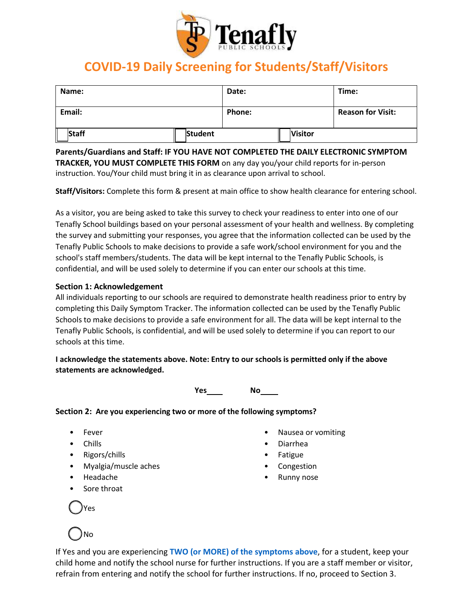

### **COVID-19 Daily Screening for Students/Staff/Visitors**

| Name:  |         | Date:  |                | Time:                    |
|--------|---------|--------|----------------|--------------------------|
| Email: |         | Phone: |                | <b>Reason for Visit:</b> |
| Staff  | Student |        | <b>Visitor</b> |                          |

**Parents/Guardians and Staff: IF YOU HAVE NOT COMPLETED THE DAILY ELECTRONIC SYMPTOM TRACKER, YOU MUST COMPLETE THIS FORM** on any day you/your child reports for in-person instruction. You/Your child must bring it in as clearance upon arrival to school.

**Staff/Visitors:** Complete this form & present at main office to show health clearance for entering school.

As a visitor, you are being asked to take this survey to check your readiness to enter into one of our Tenafly School buildings based on your personal assessment of your health and wellness. By completing the survey and submitting your responses, you agree that the information collected can be used by the Tenafly Public Schools to make decisions to provide a safe work/school environment for you and the school's staff members/students. The data will be kept internal to the Tenafly Public Schools, is confidential, and will be used solely to determine if you can enter our schools at this time.

#### **Section 1: Acknowledgement**

All individuals reporting to our schools are required to demonstrate health readiness prior to entry by completing this Daily Symptom Tracker. The information collected can be used by the Tenafly Public Schools to make decisions to provide a safe environment for all. The data will be kept internal to the Tenafly Public Schools, is confidential, and will be used solely to determine if you can report to our schools at this time.

**I acknowledge the statements above. Note: Entry to our schools is permitted only if the above statements are acknowledged.**

**Yes No**

**Section 2: Are you experiencing two or more of the following symptoms?**

- Fever
- Chills
- Rigors/chills
- Myalgia/muscle aches
- Headache
- Sore throat
- Nausea or vomiting • Diarrhea
- Fatigue
- Congestion
- Runny nose

 $\bigcirc$ Yes

# $\bigcirc$  No

If Yes and you are experiencing **TWO (or MORE) of the symptoms above**, for a student, keep your child home and notify the school nurse for further instructions. If you are a staff member or visitor, refrain from entering and notify the school for further instructions. If no, proceed to Section 3.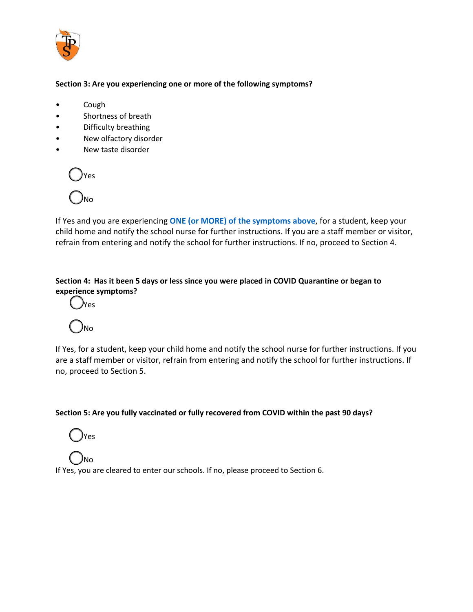

#### **Section 3: Are you experiencing one or more of the following symptoms?**

- Cough
- Shortness of breath
- Difficulty breathing
- New olfactory disorder
- New taste disorder



If Yes and you are experiencing **ONE (or MORE) of the symptoms above**, for a student, keep your child home and notify the school nurse for further instructions. If you are a staff member or visitor, refrain from entering and notify the school for further instructions. If no, proceed to Section 4.

## **Section 4: Has it been 5 days or less since you were placed in COVID Quarantine or began to experience symptoms?**<br>
OYes





If Yes, for a student, keep your child home and notify the school nurse for further instructions. If you are a staff member or visitor, refrain from entering and notify the school for further instructions. If no, proceed to Section 5.

#### **Section 5: Are you fully vaccinated or fully recovered from COVID within the past 90 days?**



 $\overline{\bigcirc}$ no If Yes, you are cleared to enter our schools. If no, please proceed to Section 6.